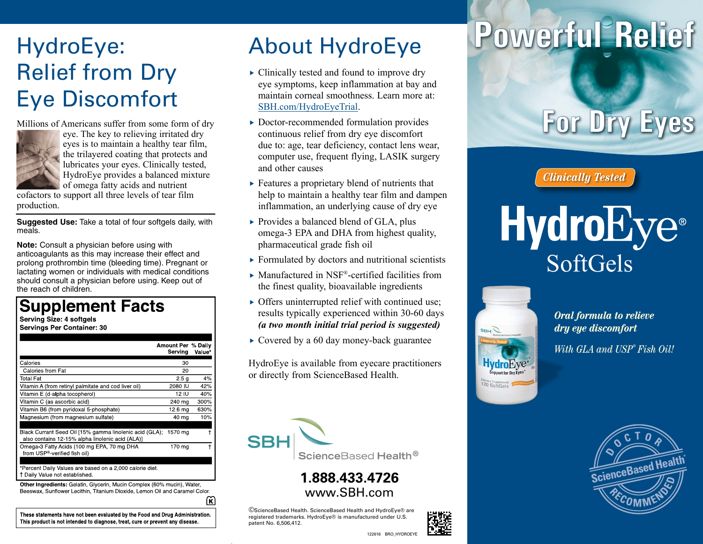## HydroEye: Relief from Dry Eye Discomfort

Millions of Americans suffer from some form of dry



eye. The key to relieving irritated dry eyes is to maintain a healthy tear film, the trilayered coating that protects and lubricates your eyes. Clinically tested, HydroEye provides a balanced mixture of omega fatty acids and nutrient

cofactors to support all three levels of tear film production.

**Suggested Use:** Take a total of four softgels daily, with meals.

**Note:** Consult a physician before using with anticoagulants as this may increase their effect and prolong prothrombin time (bleeding time). Pregnant or lactating women or individuals with medical conditions should consult a physician before using. Keep out of the reach of children.

### **Supplement Facts**

Serving Size: 4 softgels **Servings Per Container: 30** 

|                                                                                                             | Amount Per % Daily<br>Serving | Value* |
|-------------------------------------------------------------------------------------------------------------|-------------------------------|--------|
| Calories                                                                                                    | 30                            |        |
| Calories from Fat                                                                                           | 20                            |        |
| Total Fat                                                                                                   | 2.5 <sub>q</sub>              | 4%     |
| Vitamin A (from retinyl palmitate and cod liver oil)                                                        | 2080 IU                       | 42%    |
| Vitamin E (d-alpha tocopherol)                                                                              | 12 IU                         | 40%    |
| Vitamin C (as ascorbic acid)                                                                                | 240 ma                        | 300%   |
| Vitamin B6 (from pyridoxal 5-phosphate)                                                                     | 12 6 ma                       | 630%   |
| Magnesium (from magnesium sulfate)                                                                          | 40 mg                         | 10%    |
|                                                                                                             |                               |        |
| Black Currant Seed Oil [15% gamma linolenic acid (GLA);<br>also contains 12-15% alpha linolenic acid (ALA)] | 1570 mg                       |        |
| Omega 3 Fatty Acids (100 mg EPA, 70 mg DHA<br>from USP <sup>®</sup> -verified fish oil)                     | 170 mg                        |        |
| *Dessent Deily Veluse ase becad on a 0,000 selerie diet                                                     |                               |        |

† Daily Value not established.

Other Ingredients: Gelatin, Glycerin, Mucin Complex (60% mucin), Water Beeswax, Sunflower Lecithin, Titanium Dioxide, Lemon Oil and Caramel Color.

ଲ

These statements have not been evaluated by the Food and Drug Administration. This product is not intended to diagnose, treat, cure or prevent any disease.

### About HydroEye

- $\triangleright$  Clinically tested and found to improve dry eye symptoms, keep inflammation at bay and maintain corneal smoothness. Learn more at: SBH.com/HydroEyeTrial.
- $\triangleright$  Doctor-recommended formulation provides continuous relief from dry eye discomfort due to: age, tear deficiency, contact lens wear, computer use, frequent flying, LASIK surgery and other causes
- $\triangleright$  Features a proprietary blend of nutrients that help to maintain a healthy tear film and dampen inflammation, an underlying cause of dry eye
- $\triangleright$  Provides a balanced blend of GLA, plus omega-3 EPA and DHA from highest quality, pharmaceutical grade fish oil
- $\triangleright$  Formulated by doctors and nutritional scientists
- $\blacktriangleright$  Manufactured in NSF®-certified facilities from the finest quality, bioavailable ingredients
- $\triangleright$  Offers uninterrupted relief with continued use; results typically experienced within 30-60 days *(a two month initial trial period is suggested)*
- $\rightarrow$  Covered by a 60 day money-back guarantee

HydroEye is available from eyecare practitioners or directly from ScienceBased Health.



#### **1.888.433.4726** www.SBH.com

©ScienceBased Health. ScienceBased Health and HydroEye® are registered trademarks. HydroEye® is manufactured under U.S. patent No. 6,506,412.



# Powerful Relief

**For Dry Eyes** 

*Clinically Tested*

## **HydroEye**® SoftGels



*Oral formula to relieve dry eye discomfort With GLA and USP*®  *Fish Oil!*



122616 BRO\_HYDROEYE